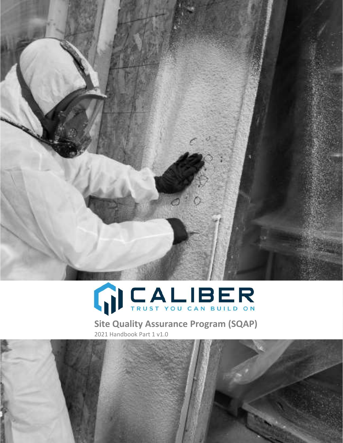



Site Quality Assurance Program (SQAP) 2021 Handbook Part 1 v1.0.

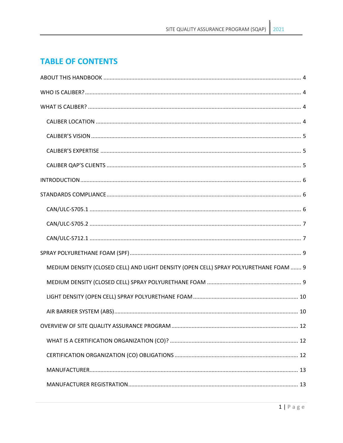# **TABLE OF CONTENTS**

| MEDIUM DENSITY (CLOSED CELL) AND LIGHT DENSITY (OPEN CELL) SPRAY POLYURETHANE FOAM  9 |
|---------------------------------------------------------------------------------------|
|                                                                                       |
|                                                                                       |
|                                                                                       |
|                                                                                       |
|                                                                                       |
|                                                                                       |
|                                                                                       |
|                                                                                       |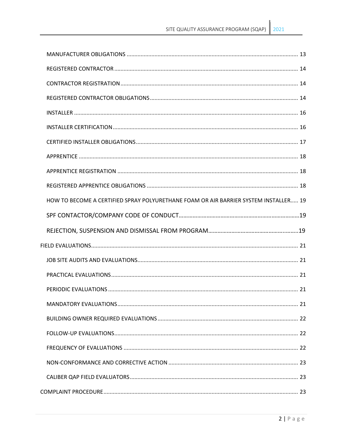| HOW TO BECOME A CERTIFIED SPRAY POLYURETHANE FOAM OR AIR BARRIER SYSTEM INSTALLER 19 |  |
|--------------------------------------------------------------------------------------|--|
|                                                                                      |  |
|                                                                                      |  |
|                                                                                      |  |
|                                                                                      |  |
|                                                                                      |  |
|                                                                                      |  |
|                                                                                      |  |
|                                                                                      |  |
|                                                                                      |  |
|                                                                                      |  |
|                                                                                      |  |
|                                                                                      |  |
|                                                                                      |  |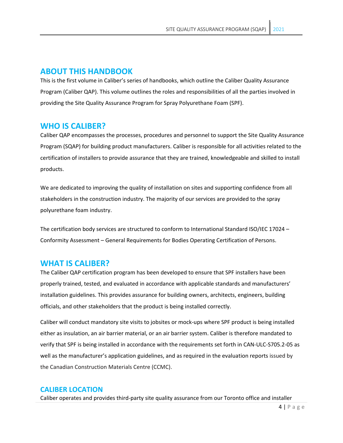### **ABOUT THIS HANDBOOK**

This is the first volume in Caliber's series of handbooks, which outline the Caliber Quality Assurance Program (Caliber QAP). This volume outlines the roles and responsibilities of all the parties involved in providing the Site Quality Assurance Program for Spray Polyurethane Foam (SPF).

## **WHO IS CALIBER?**

Caliber QAP encompasses the processes, procedures and personnel to support the Site Quality Assurance Program (SQAP) for building product manufacturers. Caliber is responsible for all activities related to the certification of installers to provide assurance that they are trained, knowledgeable and skilled to install products.

We are dedicated to improving the quality of installation on sites and supporting confidence from all stakeholders in the construction industry. The majority of our services are provided to the spray polyurethane foam industry.

The certification body services are structured to conform to International Standard ISO/IEC 17024 – Conformity Assessment – General Requirements for Bodies Operating Certification of Persons.

### **WHAT IS CALIBER?**

The Caliber QAP certification program has been developed to ensure that SPF installers have been properly trained, tested, and evaluated in accordance with applicable standards and manufacturers' installation guidelines. This provides assurance for building owners, architects, engineers, building officials, and other stakeholders that the product is being installed correctly.

Caliber will conduct mandatory site visits to jobsites or mock-ups where SPF product is being installed either as insulation, an air barrier material, or an air barrier system. Caliber is therefore mandated to verify that SPF is being installed in accordance with the requirements set forth in CAN-ULC-S705.2-05 as well as the manufacturer's application guidelines, and as required in the evaluation reports issued by the Canadian Construction Materials Centre (CCMC).

### **CALIBER LOCATION**

Caliber operates and provides third-party site quality assurance from our Toronto office and installer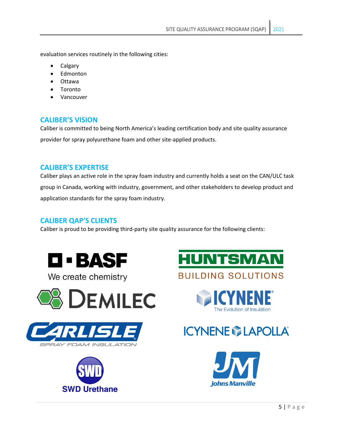evaluation services routinely in the following cities:

- Calgary
- **Edmonton**
- Ottawa
- **Toronto**
- Vancouver

### **CALIBER'S VISION**

Caliber is committed to being North America's leading certification body and site quality assurance provider for spray polyurethane foam and other site-applied products.

### **CALIBER'S EXPERTISE**

Caliber plays an active role in the spray foam industry and currently holds a seat on the CAN/ULC task group in Canada, working with industry, government, and other stakeholders to develop product and application standards for the spray foam industry.

### **CALIBER QAP'S CLIENTS**

Caliber is proud to be providing third-party site quality assurance for the following clients:



We create chemistry













The Evolution of Insulation

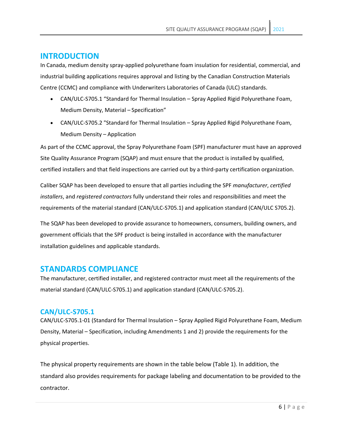# **INTRODUCTION**

In Canada, medium density spray-applied polyurethane foam insulation for residential, commercial, and industrial building applications requires approval and listing by the Canadian Construction Materials Centre (CCMC) and compliance with Underwriters Laboratories of Canada (ULC) standards.

- CAN/ULC-S705.1 "Standard for Thermal Insulation Spray Applied Rigid Polyurethane Foam, Medium Density, Material – Specification"
- CAN/ULC-S705.2 "Standard for Thermal Insulation Spray Applied Rigid Polyurethane Foam, Medium Density – Application

As part of the CCMC approval, the Spray Polyurethane Foam (SPF) manufacturer must have an approved Site Quality Assurance Program (SQAP) and must ensure that the product is installed by qualified, certified installers and that field inspections are carried out by a third-party certification organization.

Caliber SQAP has been developed to ensure that all parties including the SPF *manufacturer*, *certified installers*, and *registered contractors* fully understand their roles and responsibilities and meet the requirements of the material standard (CAN/ULC-S705.1) and application standard (CAN/ULC S705.2).

The SQAP has been developed to provide assurance to homeowners, consumers, building owners, and government officials that the SPF product is being installed in accordance with the manufacturer installation guidelines and applicable standards.

# **STANDARDS COMPLIANCE**

The manufacturer, certified installer, and registered contractor must meet all the requirements of the material standard (CAN/ULC-S705.1) and application standard (CAN/ULC-S705.2).

### **CAN/ULC-S705.1**

CAN/ULC-S705.1-01 (Standard for Thermal Insulation – Spray Applied Rigid Polyurethane Foam, Medium Density, Material – Specification, including Amendments 1 and 2) provide the requirements for the physical properties.

The physical property requirements are shown in the table below (Table 1). In addition, the standard also provides requirements for package labeling and documentation to be provided to the contractor.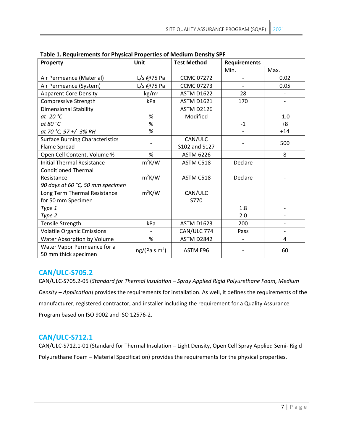| Property                                            | Unit                      | <b>Test Method</b> | <b>Requirements</b> |        |
|-----------------------------------------------------|---------------------------|--------------------|---------------------|--------|
|                                                     |                           |                    | Min.                | Max.   |
| Air Permeance (Material)                            | L/s @75 Pa                | <b>CCMC 07272</b>  |                     | 0.02   |
| Air Permeance (System)                              | L/s @75 Pa                | <b>CCMC 07273</b>  |                     | 0.05   |
| <b>Apparent Core Density</b>                        | kg/m <sup>3</sup>         | <b>ASTM D1622</b>  | 28                  |        |
| <b>Compressive Strength</b>                         | kPa                       | <b>ASTM D1621</b>  | 170                 |        |
| <b>Dimensional Stability</b>                        |                           | <b>ASTM D2126</b>  |                     |        |
| at -20 $^{\circ}$ C                                 | %                         | Modified           |                     | $-1.0$ |
| at 80 °C                                            | %                         |                    | $-1$                | $+8$   |
| at 70 °C, 97 +/- 3% RH                              | %                         |                    |                     | $+14$  |
| <b>Surface Burning Characteristics</b>              |                           | CAN/ULC            |                     | 500    |
| Flame Spread                                        |                           | S102 and S127      |                     |        |
| Open Cell Content, Volume %                         | $\%$                      | <b>ASTM 6226</b>   |                     | 8      |
| <b>Initial Thermal Resistance</b>                   | $m^2K/W$                  | ASTM C518          | Declare             |        |
| <b>Conditioned Thermal</b>                          |                           |                    |                     |        |
| Resistance                                          | $m^2K/W$                  | ASTM C518          | Declare             |        |
| 90 days at 60 °C, 50 mm specimen                    |                           |                    |                     |        |
| Long Term Thermal Resistance                        | $m^2K/W$                  | CAN/ULC            |                     |        |
| for 50 mm Specimen                                  |                           | S770               |                     |        |
| Type 1                                              |                           |                    | 1.8                 |        |
| Type 2                                              |                           |                    | 2.0                 |        |
| Tensile Strength                                    | kPa                       | <b>ASTM D1623</b>  | 200                 |        |
| <b>Volatile Organic Emissions</b>                   |                           | CAN/ULC 774        | Pass                |        |
| Water Absorption by Volume                          | %                         | <b>ASTM D2842</b>  |                     | 4      |
| Water Vapor Permeance for a<br>50 mm thick specimen | ng/(Pa s m <sup>2</sup> ) | ASTM E96           |                     | 60     |

**Table 1. Requirements for Physical Properties of Medium Density SPF**

# **CAN/ULC-S705.2**

CAN/ULC-S705.2-05 (*Standard for Thermal Insulation – Spray Applied Rigid Polyurethane Foam, Medium Density – Application*) provides the requirements for installation. As well, it defines the requirements of the manufacturer, registered contractor, and installer including the requirement for a Quality Assurance Program based on ISO 9002 and ISO 12576-2.

# **CAN/ULC-S712.1**

CAN/ULC-S712.1-01 (Standard for Thermal Insulation – Light Density, Open Cell Spray Applied Semi- Rigid Polyurethane Foam – Material Specification) provides the requirements for the physical properties.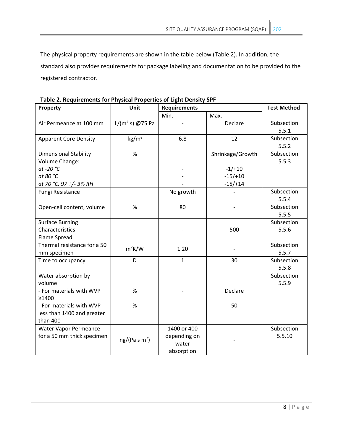The physical property requirements are shown in the table below (Table 2). In addition, the standard also provides requirements for package labeling and documentation to be provided to the registered contractor.

| Property                     | Unit                      | <b>Requirements</b> |                  | <b>Test Method</b> |
|------------------------------|---------------------------|---------------------|------------------|--------------------|
|                              |                           | Min.                | Max.             |                    |
| Air Permeance at 100 mm      | $L/(m^2 s)$ @75 Pa        |                     | Declare          | Subsection         |
|                              |                           |                     |                  | 5.5.1              |
| <b>Apparent Core Density</b> | kg/m <sup>3</sup>         | 6.8                 | 12               | Subsection         |
|                              |                           |                     |                  | 5.5.2              |
| <b>Dimensional Stability</b> | $\%$                      |                     | Shrinkage/Growth | Subsection         |
| Volume Change:               |                           |                     |                  | 5.5.3              |
| at -20 °C                    |                           |                     | $-1/+10$         |                    |
| at 80 °C                     |                           |                     | $-15/+10$        |                    |
| at 70 °C, 97 +/- 3% RH       |                           |                     | $-15/+14$        |                    |
| Fungi Resistance             |                           | No growth           |                  | Subsection         |
|                              |                           |                     |                  | 5.5.4              |
| Open-cell content, volume    | %                         | 80                  |                  | Subsection         |
|                              |                           |                     |                  | 5.5.5              |
| <b>Surface Burning</b>       |                           |                     |                  | Subsection         |
| Characteristics              |                           |                     | 500              | 5.5.6              |
| <b>Flame Spread</b>          |                           |                     |                  |                    |
| Thermal resistance for a 50  | $m^2K/W$                  | 1.20                |                  | Subsection         |
| mm specimen                  |                           |                     |                  | 5.5.7              |
| Time to occupancy            | D                         | $\mathbf{1}$        | 30               | Subsection         |
|                              |                           |                     |                  | 5.5.8              |
| Water absorption by          |                           |                     |                  | Subsection         |
| volume                       |                           |                     |                  | 5.5.9              |
| - For materials with WVP     | %                         |                     | Declare          |                    |
| >1400                        |                           |                     |                  |                    |
| - For materials with WVP     | %                         |                     | 50               |                    |
| less than 1400 and greater   |                           |                     |                  |                    |
| than 400                     |                           |                     |                  |                    |
| Water Vapor Permeance        |                           | 1400 or 400         |                  | Subsection         |
| for a 50 mm thick specimen   | ng/(Pa s m <sup>2</sup> ) | depending on        |                  | 5.5.10             |
|                              |                           | water               |                  |                    |
|                              |                           | absorption          |                  |                    |

**Table 2. Requirements for Physical Properties of Light Density SPF**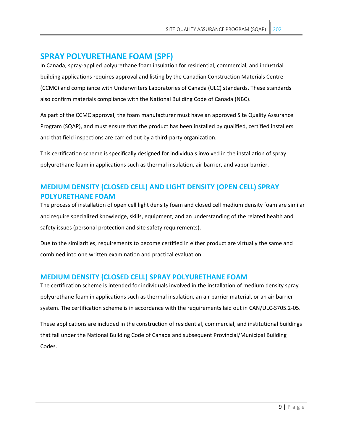# **SPRAY POLYURETHANE FOAM (SPF)**

In Canada, spray-applied polyurethane foam insulation for residential, commercial, and industrial building applications requires approval and listing by the Canadian Construction Materials Centre (CCMC) and compliance with Underwriters Laboratories of Canada (ULC) standards. These standards also confirm materials compliance with the National Building Code of Canada (NBC).

As part of the CCMC approval, the foam manufacturer must have an approved Site Quality Assurance Program (SQAP), and must ensure that the product has been installed by qualified, certified installers and that field inspections are carried out by a third-party organization.

This certification scheme is specifically designed for individuals involved in the installation of spray polyurethane foam in applications such as thermal insulation, air barrier, and vapor barrier.

# **MEDIUM DENSITY (CLOSED CELL) AND LIGHT DENSITY (OPEN CELL) SPRAY POLYURETHANE FOAM**

The process of installation of open cell light density foam and closed cell medium density foam are similar and require specialized knowledge, skills, equipment, and an understanding of the related health and safety issues (personal protection and site safety requirements).

Due to the similarities, requirements to become certified in either product are virtually the same and combined into one written examination and practical evaluation.

### **MEDIUM DENSITY (CLOSED CELL) SPRAY POLYURETHANE FOAM**

The certification scheme is intended for individuals involved in the installation of medium density spray polyurethane foam in applications such as thermal insulation, an air barrier material, or an air barrier system. The certification scheme is in accordance with the requirements laid out in CAN/ULC-S705.2-05.

These applications are included in the construction of residential, commercial, and institutional buildings that fall under the National Building Code of Canada and subsequent Provincial/Municipal Building Codes.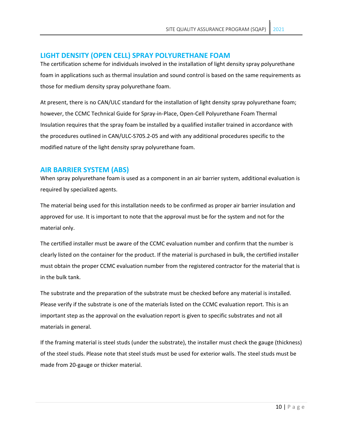### **LIGHT DENSITY (OPEN CELL) SPRAY POLYURETHANE FOAM**

The certification scheme for individuals involved in the installation of light density spray polyurethane foam in applications such as thermal insulation and sound control is based on the same requirements as those for medium density spray polyurethane foam.

At present, there is no CAN/ULC standard for the installation of light density spray polyurethane foam; however, the CCMC Technical Guide for Spray-in-Place, Open-Cell Polyurethane Foam Thermal Insulation requires that the spray foam be installed by a qualified installer trained in accordance with the procedures outlined in CAN/ULC-S705.2-05 and with any additional procedures specific to the modified nature of the light density spray polyurethane foam.

### **AIR BARRIER SYSTEM (ABS)**

When spray polyurethane foam is used as a component in an air barrier system, additional evaluation is required by specialized agents.

The material being used for this installation needs to be confirmed as proper air barrier insulation and approved for use. It is important to note that the approval must be for the system and not for the material only.

The certified installer must be aware of the CCMC evaluation number and confirm that the number is clearly listed on the container for the product. If the material is purchased in bulk, the certified installer must obtain the proper CCMC evaluation number from the registered contractor for the material that is in the bulk tank.

The substrate and the preparation of the substrate must be checked before any material is installed. Please verify if the substrate is one of the materials listed on the CCMC evaluation report. This is an important step as the approval on the evaluation report is given to specific substrates and not all materials in general.

If the framing material is steel studs (under the substrate), the installer must check the gauge (thickness) of the steel studs. Please note that steel studs must be used for exterior walls. The steel studs must be made from 20-gauge or thicker material.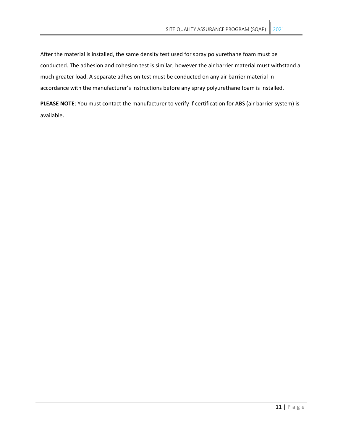After the material is installed, the same density test used for spray polyurethane foam must be conducted. The adhesion and cohesion test is similar, however the air barrier material must withstand a much greater load. A separate adhesion test must be conducted on any air barrier material in accordance with the manufacturer's instructions before any spray polyurethane foam is installed.

**PLEASE NOTE**: You must contact the manufacturer to verify if certification for ABS (air barrier system) is available.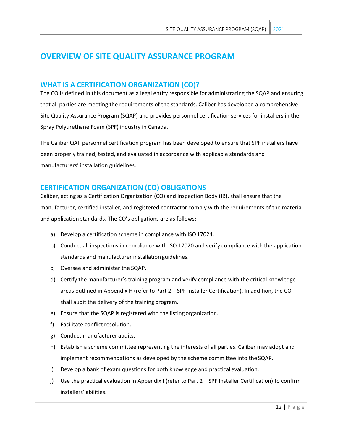# **OVERVIEW OF SITE QUALITY ASSURANCE PROGRAM**

### **WHAT IS A CERTIFICATION ORGANIZATION (CO)?**

The CO is defined in this document as a legal entity responsible for administrating the SQAP and ensuring that all parties are meeting the requirements of the standards. Caliber has developed a comprehensive Site Quality Assurance Program (SQAP) and provides personnel certification services for installers in the Spray Polyurethane Foam (SPF) industry in Canada.

The Caliber QAP personnel certification program has been developed to ensure that SPF installers have been properly trained, tested, and evaluated in accordance with applicable standards and manufacturers' installation guidelines.

## **CERTIFICATION ORGANIZATION (CO) OBLIGATIONS**

Caliber, acting as a Certification Organization (CO) and Inspection Body (IB), shall ensure that the manufacturer, certified installer, and registered contractor comply with the requirements of the material and application standards. The CO's obligations are as follows:

- a) Develop a certification scheme in compliance with ISO 17024.
- b) Conduct all inspections in compliance with ISO 17020 and verify compliance with the application standards and manufacturer installation guidelines.
- c) Oversee and administer the SQAP.
- d) Certify the manufacturer's training program and verify compliance with the critical knowledge areas outlined in Appendix H (refer to Part 2 – SPF Installer Certification). In addition, the CO shall audit the delivery of the training program.
- e) Ensure that the SQAP is registered with the listing organization.
- f) Facilitate conflict resolution.
- g) Conduct manufacturer audits.
- h) Establish a scheme committee representing the interests of all parties. Caliber may adopt and implement recommendations as developed by the scheme committee into the SQAP.
- i) Develop a bank of exam questions for both knowledge and practical evaluation.
- j) Use the practical evaluation in Appendix I (refer to Part 2 SPF Installer Certification) to confirm installers' abilities.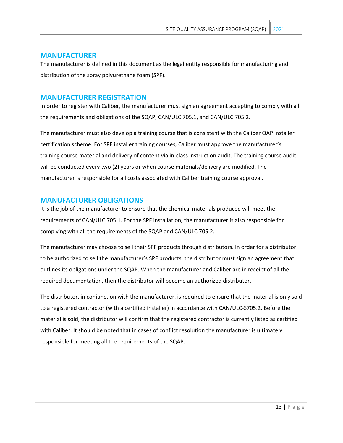#### **MANUFACTURER**

The manufacturer is defined in this document as the legal entity responsible for manufacturing and distribution of the spray polyurethane foam (SPF).

#### **MANUFACTURER REGISTRATION**

In order to register with Caliber, the manufacturer must sign an agreement accepting to comply with all the requirements and obligations of the SQAP, CAN/ULC 705.1, and CAN/ULC 705.2.

The manufacturer must also develop a training course that is consistent with the Caliber QAP installer certification scheme. For SPF installer training courses, Caliber must approve the manufacturer's training course material and delivery of content via in-class instruction audit. The training course audit will be conducted every two (2) years or when course materials/delivery are modified. The manufacturer is responsible for all costs associated with Caliber training course approval.

#### **MANUFACTURER OBLIGATIONS**

It is the job of the manufacturer to ensure that the chemical materials produced will meet the requirements of CAN/ULC 705.1. For the SPF installation, the manufacturer is also responsible for complying with all the requirements of the SQAP and CAN/ULC 705.2.

The manufacturer may choose to sell their SPF products through distributors. In order for a distributor to be authorized to sell the manufacturer's SPF products, the distributor must sign an agreement that outlines its obligations under the SQAP. When the manufacturer and Caliber are in receipt of all the required documentation, then the distributor will become an authorized distributor.

The distributor, in conjunction with the manufacturer, is required to ensure that the material is only sold to a registered contractor (with a certified installer) in accordance with CAN/ULC-S705.2. Before the material is sold, the distributor will confirm that the registered contractor is currently listed as certified with Caliber. It should be noted that in cases of conflict resolution the manufacturer is ultimately responsible for meeting all the requirements of the SQAP.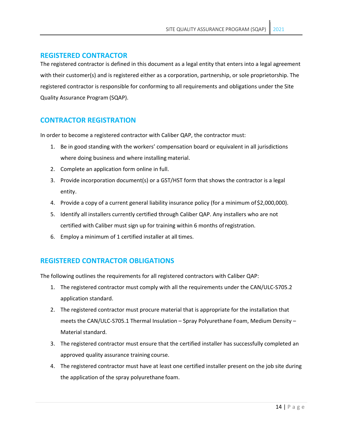### **REGISTERED CONTRACTOR**

The registered contractor is defined in this document as a legal entity that enters into a legal agreement with their customer(s) and is registered either as a corporation, partnership, or sole proprietorship. The registered contractor is responsible for conforming to all requirements and obligations under the Site Quality Assurance Program (SQAP).

## **CONTRACTOR REGISTRATION**

In order to become a registered contractor with Caliber QAP, the contractor must:

- 1. Be in good standing with the workers' compensation board or equivalent in all jurisdictions where doing business and where installing material.
- 2. Complete an application form online in full.
- 3. Provide incorporation document(s) or a GST/HST form that shows the contractor is a legal entity.
- 4. Provide a copy of a current general liability insurance policy (for a minimum of\$2,000,000).
- 5. Identify all installers currently certified through Caliber QAP. Any installers who are not certified with Caliber must sign up for training within 6 months ofregistration.
- 6. Employ a minimum of 1 certified installer at all times.

### **REGISTERED CONTRACTOR OBLIGATIONS**

The following outlines the requirements for all registered contractors with Caliber QAP:

- 1. The registered contractor must comply with all the requirements under the CAN/ULC-S705.2 application standard.
- 2. The registered contractor must procure material that is appropriate for the installation that meets the CAN/ULC-S705.1 Thermal Insulation – Spray Polyurethane Foam, Medium Density – Material standard.
- 3. The registered contractor must ensure that the certified installer has successfully completed an approved quality assurance training course.
- 4. The registered contractor must have at least one certified installer present on the job site during the application of the spray polyurethane foam.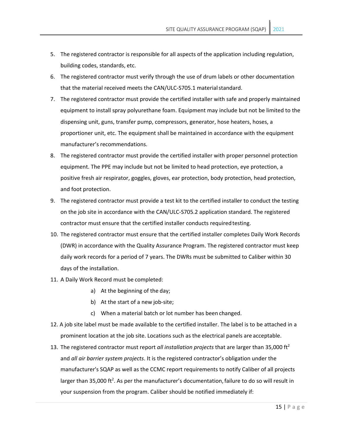- 5. The registered contractor is responsible for all aspects of the application including regulation, building codes, standards, etc.
- 6. The registered contractor must verify through the use of drum labels or other documentation that the material received meets the CAN/ULC-S705.1 material standard.
- 7. The registered contractor must provide the certified installer with safe and properly maintained equipment to install spray polyurethane foam. Equipment may include but not be limited to the dispensing unit, guns, transfer pump, compressors, generator, hose heaters, hoses, a proportioner unit, etc. The equipment shall be maintained in accordance with the equipment manufacturer's recommendations.
- 8. The registered contractor must provide the certified installer with proper personnel protection equipment. The PPE may include but not be limited to head protection, eye protection, a positive fresh air respirator, goggles, gloves, ear protection, body protection, head protection, and foot protection.
- 9. The registered contractor must provide a test kit to the certified installer to conduct the testing on the job site in accordance with the CAN/ULC-S705.2 application standard. The registered contractor must ensure that the certified installer conducts requiredtesting.
- 10. The registered contractor must ensure that the certified installer completes Daily Work Records (DWR) in accordance with the Quality Assurance Program. The registered contractor must keep daily work records for a period of 7 years. The DWRs must be submitted to Caliber within 30 days of the installation.
- 11. A Daily Work Record must be completed:
	- a) At the beginning of the day;
	- b) At the start of a new job-site;
	- c) When a material batch or lot number has been changed.
- 12. A job site label must be made available to the certified installer. The label is to be attached in a prominent location at the job site. Locations such as the electrical panels are acceptable.
- 13. The registered contractor must report *all installation projects* that are larger than 35,000 ft2 and *all air barrier system projects*. It is the registered contractor's obligation under the manufacturer's SQAP as well as the CCMC report requirements to notify Caliber of all projects larger than 35,000 ft<sup>2</sup>. As per the manufacturer's documentation, failure to do so will result in your suspension from the program. Caliber should be notified immediately if: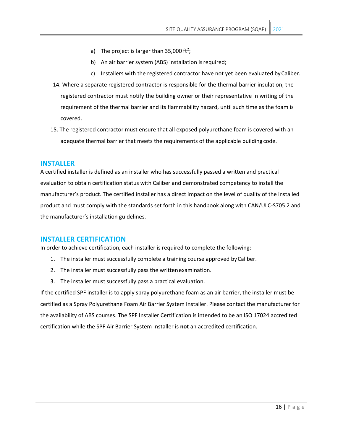- a) The project is larger than 35,000 ft<sup>2</sup>;
- b) An air barrier system (ABS) installation is required;
- c) Installers with the registered contractor have not yet been evaluated byCaliber.
- 14. Where a separate registered contractor is responsible for the thermal barrier insulation, the registered contractor must notify the building owner or their representative in writing of the requirement of the thermal barrier and its flammability hazard, until such time as the foam is covered.
- 15. The registered contractor must ensure that all exposed polyurethane foam is covered with an adequate thermal barrier that meets the requirements of the applicable building code.

#### **INSTALLER**

A certified installer is defined as an installer who has successfully passed a written and practical evaluation to obtain certification status with Caliber and demonstrated competency to install the manufacturer's product. The certified installer has a direct impact on the level of quality of the installed product and must comply with the standards set forth in this handbook along with CAN/ULC-S705.2 and the manufacturer's installation guidelines.

#### **INSTALLER CERTIFICATION**

In order to achieve certification, each installer is required to complete the following:

- 1. The installer must successfully complete a training course approved byCaliber.
- 2. The installer must successfully pass the writtenexamination.
- 3. The installer must successfully pass a practical evaluation.

If the certified SPF installer is to apply spray polyurethane foam as an air barrier, the installer must be certified as a Spray Polyurethane Foam Air Barrier System Installer. Please contact the manufacturer for the availability of ABS courses. The SPF Installer Certification is intended to be an ISO 17024 accredited certification while the SPF Air Barrier System Installer is **not** an accredited certification.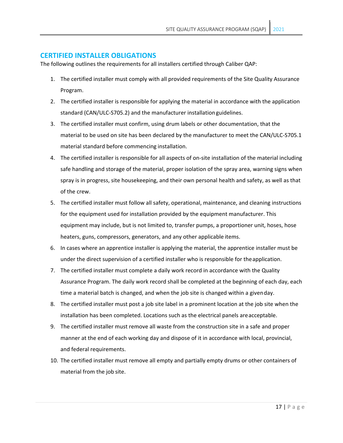#### **CERTIFIED INSTALLER OBLIGATIONS**

The following outlines the requirements for all installers certified through Caliber QAP:

- 1. The certified installer must comply with all provided requirements of the Site Quality Assurance Program.
- 2. The certified installer is responsible for applying the material in accordance with the application standard (CAN/ULC-S705.2) and the manufacturer installationguidelines.
- 3. The certified installer must confirm, using drum labels or other documentation, that the material to be used on site has been declared by the manufacturer to meet the CAN/ULC-S705.1 material standard before commencing installation.
- 4. The certified installer is responsible for all aspects of on-site installation of the material including safe handling and storage of the material, proper isolation of the spray area, warning signs when spray is in progress, site housekeeping, and their own personal health and safety, as well as that of the crew.
- 5. The certified installer must follow all safety, operational, maintenance, and cleaning instructions for the equipment used for installation provided by the equipment manufacturer. This equipment may include, but is not limited to, transfer pumps, a proportioner unit, hoses, hose heaters, guns, compressors, generators, and any other applicable items.
- 6. In cases where an apprentice installer is applying the material, the apprentice installer must be under the direct supervision of a certified installer who is responsible for theapplication.
- 7. The certified installer must complete a daily work record in accordance with the Quality Assurance Program. The daily work record shall be completed at the beginning of each day, each time a material batch is changed, and when the job site is changed within a givenday.
- 8. The certified installer must post a job site label in a prominent location at the job site when the installation has been completed. Locations such as the electrical panels areacceptable.
- 9. The certified installer must remove all waste from the construction site in a safe and proper manner at the end of each working day and dispose of it in accordance with local, provincial, and federal requirements.
- 10. The certified installer must remove all empty and partially empty drums or other containers of material from the job site.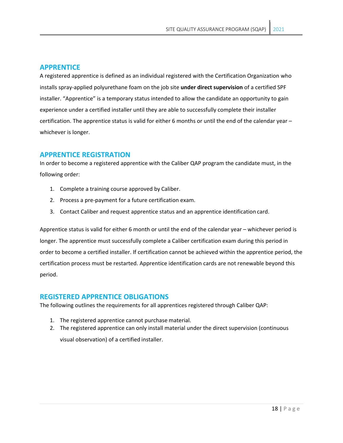### **APPRENTICE**

A registered apprentice is defined as an individual registered with the Certification Organization who installs spray-applied polyurethane foam on the job site **under direct supervision** of a certified SPF installer. "Apprentice" is a temporary status intended to allow the candidate an opportunity to gain experience under a certified installer until they are able to successfully complete their installer certification. The apprentice status is valid for either 6 months or until the end of the calendar year – whichever is longer.

### **APPRENTICE REGISTRATION**

In order to become a registered apprentice with the Caliber QAP program the candidate must, in the following order:

- 1. Complete a training course approved by Caliber.
- 2. Process a pre-payment for a future certification exam.
- 3. Contact Caliber and request apprentice status and an apprentice identification card.

Apprentice status is valid for either 6 month or until the end of the calendar year – whichever period is longer. The apprentice must successfully complete a Caliber certification exam during this period in order to become a certified installer. If certification cannot be achieved within the apprentice period, the certification process must be restarted. Apprentice identification cards are not renewable beyond this period.

### **REGISTERED APPRENTICE OBLIGATIONS**

The following outlines the requirements for all apprentices registered through Caliber QAP:

- 1. The registered apprentice cannot purchase material.
- 2. The registered apprentice can only install material under the direct supervision (continuous visual observation) of a certified installer.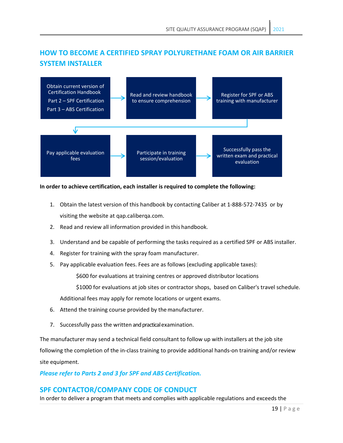# **HOW TO BECOME A CERTIFIED SPRAY POLYURETHANE FOAM OR AIR BARRIER SYSTEM INSTALLER**



#### **In order to achieve certification, each installer is required to complete the following:**

- 1. Obtain the latest version of this handbook by contacting Caliber at 1-888-572-7435 or by visiting the website at [qap.caliberqa.com.](http://www.mhqap.com/)
- 2. Read and review all information provided in this handbook.
- 3. Understand and be capable of performing the tasks required as a certified SPF or ABS installer.
- 4. Register for training with the spray foam manufacturer.
- 5. Pay applicable evaluation fees. Fees are as follows (excluding applicable taxes):

\$600 for evaluations at training centres or approved distributor locations

\$1000 for evaluations at job sites or contractor shops, based on Caliber's travel schedule.

Additional fees may apply for remote locations or urgent exams.

- 6. Attend the training course provided by themanufacturer.
- 7. Successfully pass the written and practicalexamination.

The manufacturer may send a technical field consultant to follow up with installers at the job site following the completion of the in-class training to provide additional hands-on training and/or review site equipment.

### *Please refer to Parts 2 and 3 for SPF and ABS Certification.*

### **SPF CONTACTOR/COMPANY CODE OF CONDUCT**

In order to deliver a program that meets and complies with applicable regulations and exceeds the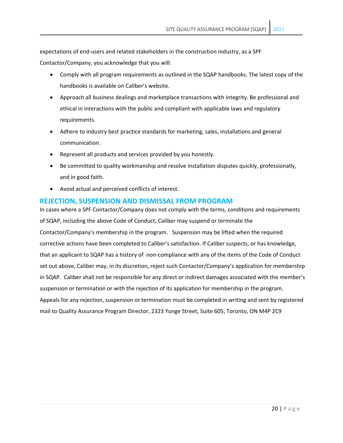expectations of end-users and related stakeholders in the construction industry, as a SPF

Contactor/Company, you acknowledge that you will:

- Comply with all program requirements as outlined in the SQAP handbooks. The latest copy of the handbooks is available on Caliber's website.
- Approach all business dealings and marketplace transactions with integrity. Be professional and ethical in interactions with the public and compliant with applicable laws and regulatory requirements.
- Adhere to industry best practice standards for marketing, sales, installations and general communication.
- Represent all products and services provided by you honestly.
- Be committed to quality workmanship and resolve installation disputes quickly, professionally, and in good faith.
- Avoid actual and perceived conflicts of interest.

### **REJECTION, SUSPENSION AND DISMISSAL FROM PROGRAM**

In cases where a SPF Contactor/Company does not comply with the terms, conditions and requirements of SQAP, including the above Code of Conduct, Caliber may suspend or terminate the Contactor/Company's membership in the program. Suspension may be lifted when the required corrective actions have been completed to Caliber's satisfaction. If Caliber suspects, or has knowledge, that an applicant to SQAP has a history of non-compliance with any of the items of the Code of Conduct set out above, Caliber may, in its discretion, reject such Contactor/Company's application for membership in SQAP. Caliber shall not be responsible for any direct or indirect damages associated with the member's suspension or termination or with the rejection of its application for membership in the program. Appeals for any rejection, suspension or termination must be completed in writing and sent by registered mail to Quality Assurance Program Director, 2323 Yonge Street, Suite 605, Toronto, ON M4P 2C9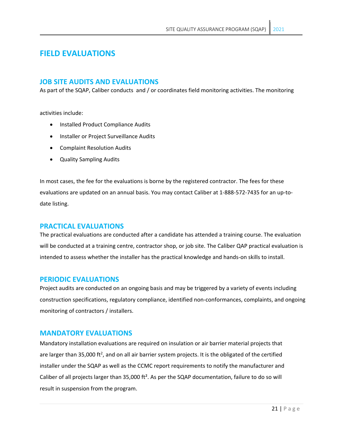# **FIELD EVALUATIONS**

### **JOB SITE AUDITS AND EVALUATIONS**

As part of the SQAP, Caliber conducts and / or coordinates field monitoring activities. The monitoring

activities include:

- Installed Product Compliance Audits
- Installer or Project Surveillance Audits
- Complaint Resolution Audits
- Quality Sampling Audits

In most cases, the fee for the evaluations is borne by the registered contractor. The fees for these evaluations are updated on an annual basis. You may contact Caliber at 1-888-572-7435 for an up-todate listing.

### **PRACTICAL EVALUATIONS**

The practical evaluations are conducted after a candidate has attended a training course. The evaluation will be conducted at a training centre, contractor shop, or job site. The Caliber QAP practical evaluation is intended to assess whether the installer has the practical knowledge and hands-on skills to install.

### **PERIODIC EVALUATIONS**

Project audits are conducted on an ongoing basis and may be triggered by a variety of events including construction specifications, regulatory compliance, identified non-conformances, complaints, and ongoing monitoring of contractors / installers.

### **MANDATORY EVALUATIONS**

Mandatory installation evaluations are required on insulation or air barrier material projects that are larger than 35,000 ft<sup>2</sup>, and on all air barrier system projects. It is the obligated of the certified installer under the SQAP as well as the CCMC report requirements to notify the manufacturer and Caliber of all projects larger than 35,000 ft². As per the SQAP documentation, failure to do so will result in suspension from the program.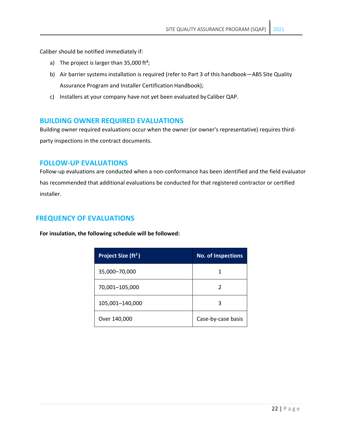Caliber should be notified immediately if:

- a) The project is larger than  $35,000$  ft<sup>2</sup>;
- b) Air barrier systems installation is required (refer to Part 3 of this handbook—ABS Site Quality Assurance Program and Installer Certification Handbook);
- c) Installers at your company have not yet been evaluated byCaliber QAP.

### **BUILDING OWNER REQUIRED EVALUATIONS**

Building owner required evaluations occur when the owner (or owner's representative) requires thirdparty inspections in the contract documents.

### **FOLLOW-UP EVALUATIONS**

Follow-up evaluations are conducted when a non-conformance has been identified and the field evaluator has recommended that additional evaluations be conducted for that registered contractor or certified installer.

### **FREQUENCY OF EVALUATIONS**

**For insulation, the following schedule will be followed:**

| Project Size (ft <sup>2</sup> ) | <b>No. of Inspections</b> |
|---------------------------------|---------------------------|
| 35,000-70,000                   |                           |
| 70,001-105,000                  | 2                         |
| 105,001-140,000                 | 3                         |
| Over 140,000                    | Case-by-case basis        |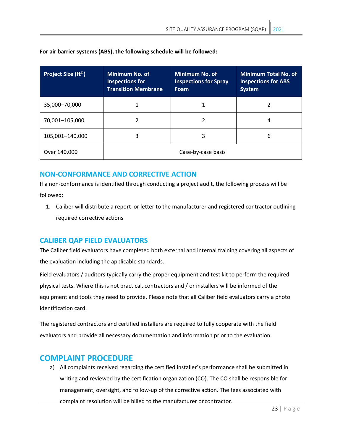| Project Size (ft <sup>2</sup> ) | Minimum No. of<br><b>Inspections for</b><br><b>Transition Membrane</b> | Minimum No. of<br><b>Inspections for Spray</b><br><b>Foam</b> | <b>Minimum Total No. of</b><br><b>Inspections for ABS</b><br><b>System</b> |
|---------------------------------|------------------------------------------------------------------------|---------------------------------------------------------------|----------------------------------------------------------------------------|
| 35,000-70,000                   |                                                                        | 1                                                             |                                                                            |
| 70,001-105,000                  |                                                                        | 2                                                             | 4                                                                          |
| 105,001-140,000                 | 3                                                                      | 3                                                             | 6                                                                          |
| Over 140,000                    | Case-by-case basis                                                     |                                                               |                                                                            |

**For air barrier systems (ABS), the following schedule will be followed:**

## **NON-CONFORMANCE AND CORRECTIVE ACTION**

If a non-conformance is identified through conducting a project audit, the following process will be followed:

1. Caliber will distribute a report or letter to the manufacturer and registered contractor outlining required corrective actions

### **CALIBER QAP FIELD EVALUATORS**

The Caliber field evaluators have completed both external and internal training covering all aspects of the evaluation including the applicable standards.

Field evaluators / auditors typically carry the proper equipment and test kit to perform the required physical tests. Where this is not practical, contractors and / or installers will be informed of the equipment and tools they need to provide. Please note that all Caliber field evaluators carry a photo identification card.

The registered contractors and certified installers are required to fully cooperate with the field evaluators and provide all necessary documentation and information prior to the evaluation.

# **COMPLAINT PROCEDURE**

a) All complaints received regarding the certified installer's performance shall be submitted in writing and reviewed by the certification organization (CO). The CO shall be responsible for management, oversight, and follow-up of the corrective action. The fees associated with complaint resolution will be billed to the manufacturer or contractor.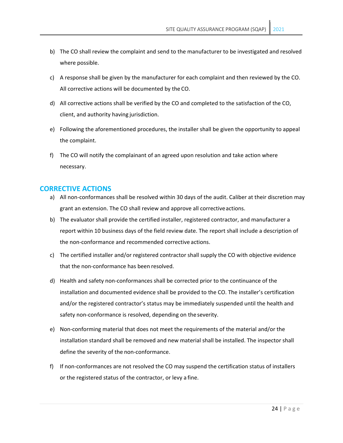- b) The CO shall review the complaint and send to the manufacturer to be investigated and resolved where possible.
- c) A response shall be given by the manufacturer for each complaint and then reviewed by the CO. All corrective actions will be documented by the CO.
- d) All corrective actions shall be verified by the CO and completed to the satisfaction of the CO, client, and authority having jurisdiction.
- e) Following the aforementioned procedures, the installer shall be given the opportunity to appeal the complaint.
- f) The CO will notify the complainant of an agreed upon resolution and take action where necessary.

#### **CORRECTIVE ACTIONS**

- a) All non-conformances shall be resolved within 30 days of the audit. Caliber at their discretion may grant an extension. The CO shall review and approve all correctiveactions.
- b) The evaluator shall provide the certified installer, registered contractor, and manufacturer a report within 10 business days of the field review date. The report shall include a description of the non-conformance and recommended corrective actions.
- c) The certified installer and/or registered contractor shall supply the CO with objective evidence that the non-conformance has been resolved.
- d) Health and safety non-conformances shall be corrected prior to the continuance of the installation and documented evidence shall be provided to the CO. The installer's certification and/or the registered contractor's status may be immediately suspended until the health and safety non-conformance is resolved, depending on the severity.
- e) Non-conforming material that does not meet the requirements of the material and/or the installation standard shall be removed and new material shall be installed. The inspector shall define the severity of the non-conformance.
- f) If non-conformances are not resolved the CO may suspend the certification status of installers or the registered status of the contractor, or levy a fine.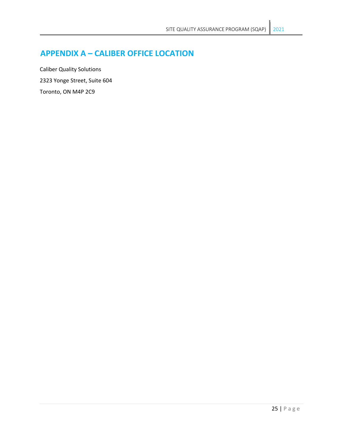# **APPENDIX A – CALIBER OFFICE LOCATION**

Caliber Quality Solutions 2323 Yonge Street, Suite 604 Toronto, ON M4P 2C9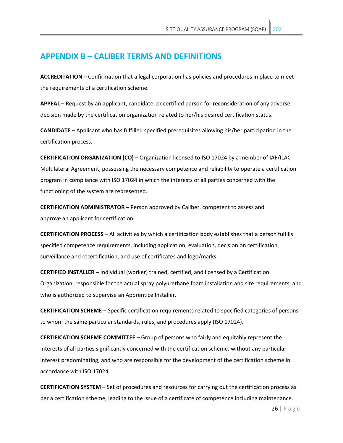# **APPENDIX B – CALIBER TERMS AND DEFINITIONS**

**ACCREDITATION** – Confirmation that a legal corporation has policies and procedures in place to meet the requirements of a certification scheme.

**APPEAL** – Request by an applicant, candidate, or certified person for reconsideration of any adverse decision made by the certification organization related to her/his desired certification status.

**CANDIDATE** – Applicant who has fulfilled specified prerequisites allowing his/her participation in the certification process.

**CERTIFICATION ORGANIZATION (CO)** – Organization licensed to ISO 17024 by a member of IAF/ILAC Multilateral Agreement, possessing the necessary competence and reliability to operate a certification program in compliance with ISO 17024 in which the interests of all parties concerned with the functioning of the system are represented.

**CERTIFICATION ADMINISTRATOR** – Person approved by Caliber, competent to assess and approve an applicant for certification.

**CERTIFICATION PROCESS** – All activities by which a certification body establishes that a person fulfills specified competence requirements, including application, evaluation, decision on certification, surveillance and recertification, and use of certificates and logo/marks.

**CERTIFIED INSTALLER** – Individual (worker) trained, certified, and licensed by a Certification Organization, responsible for the actual spray polyurethane foam installation and site requirements, and who is authorized to supervise an Apprentice Installer.

**CERTIFICATION SCHEME** – Specific certification requirements related to specified categories of persons to whom the same particular standards, rules, and procedures apply (ISO 17024).

**CERTIFICATION SCHEME COMMITTEE** – Group of persons who fairly and equitably represent the interests of all parties significantly concerned with the certification scheme, without any particular interest predominating, and who are responsible for the development of the certification scheme in accordance with ISO 17024.

**CERTIFICATION SYSTEM** – Set of procedures and resources for carrying out the certification process as per a certification scheme, leading to the issue of a certificate of competence including maintenance.